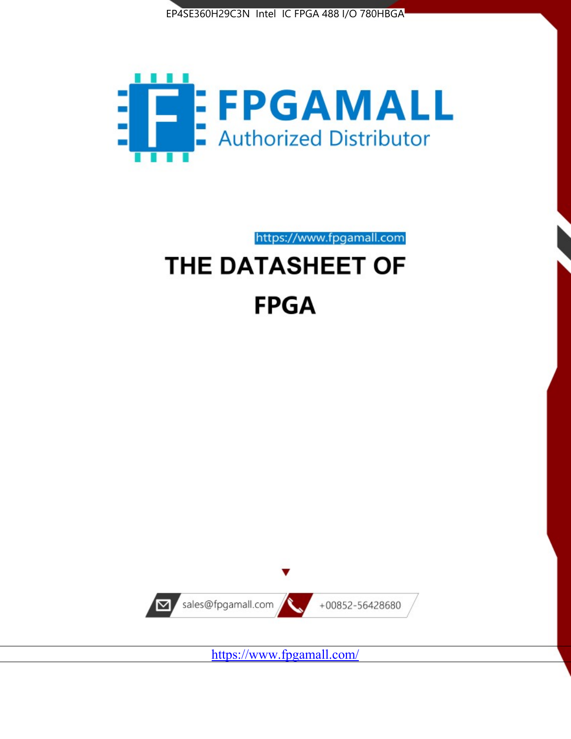



https://www.fpgamall.com

# THE DATASHEET OF **FPGA**



<https://www.fpgamall.com/>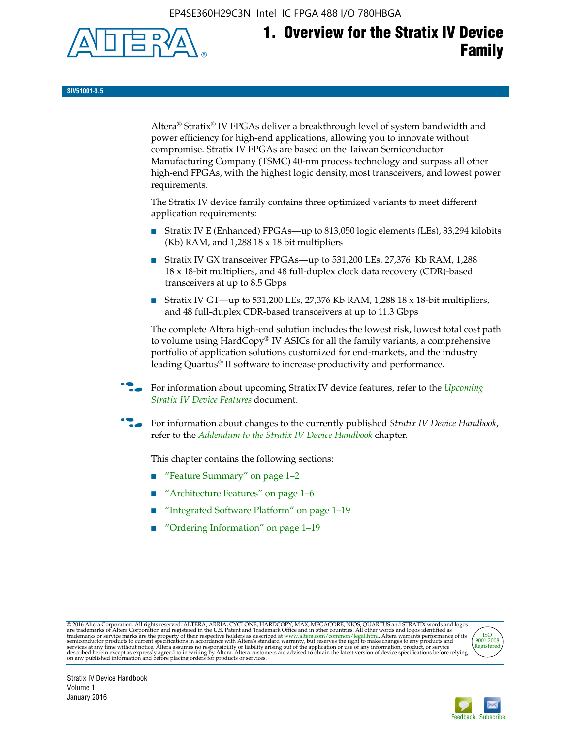EP4SE360H29C3N Intel IC FPGA 488 I/O 780HBGA



# **1. Overview for the Stratix IV Device Family**

**SIV51001-3.5**

Altera® Stratix® IV FPGAs deliver a breakthrough level of system bandwidth and power efficiency for high-end applications, allowing you to innovate without compromise. Stratix IV FPGAs are based on the Taiwan Semiconductor Manufacturing Company (TSMC) 40-nm process technology and surpass all other high-end FPGAs, with the highest logic density, most transceivers, and lowest power requirements.

The Stratix IV device family contains three optimized variants to meet different application requirements:

- Stratix IV E (Enhanced) FPGAs—up to 813,050 logic elements (LEs), 33,294 kilobits (Kb) RAM, and 1,288 18 x 18 bit multipliers
- Stratix IV GX transceiver FPGAs—up to 531,200 LEs, 27,376 Kb RAM, 1,288 18 x 18-bit multipliers, and 48 full-duplex clock data recovery (CDR)-based transceivers at up to 8.5 Gbps
- Stratix IV GT—up to 531,200 LEs, 27,376 Kb RAM, 1,288 18 x 18-bit multipliers, and 48 full-duplex CDR-based transceivers at up to 11.3 Gbps

The complete Altera high-end solution includes the lowest risk, lowest total cost path to volume using HardCopy® IV ASICs for all the family variants, a comprehensive portfolio of application solutions customized for end-markets, and the industry leading Quartus® II software to increase productivity and performance.

f For information about upcoming Stratix IV device features, refer to the *[Upcoming](http://www.altera.com/literature/hb/stratix-iv/uf01001.pdf?GSA_pos=2&WT.oss_r=1&WT.oss=upcoming)  [Stratix IV Device Features](http://www.altera.com/literature/hb/stratix-iv/uf01001.pdf?GSA_pos=2&WT.oss_r=1&WT.oss=upcoming)* document.

f For information about changes to the currently published *Stratix IV Device Handbook*, refer to the *[Addendum to the Stratix IV Device Handbook](http://www.altera.com/literature/hb/stratix-iv/stx4_siv54002.pdf)* chapter.

This chapter contains the following sections:

- "Feature Summary" on page 1–2
- "Architecture Features" on page 1–6
- "Integrated Software Platform" on page 1–19
- "Ordering Information" on page 1–19

@2016 Altera Corporation. All rights reserved. ALTERA, ARRIA, CYCLONE, HARDCOPY, MAX, MEGACORE, NIOS, QUARTUS and STRATIX words and logos are trademarks of Altera Corporation and registered in the U.S. Patent and Trademark



Stratix IV Device Handbook Volume 1 January 2016

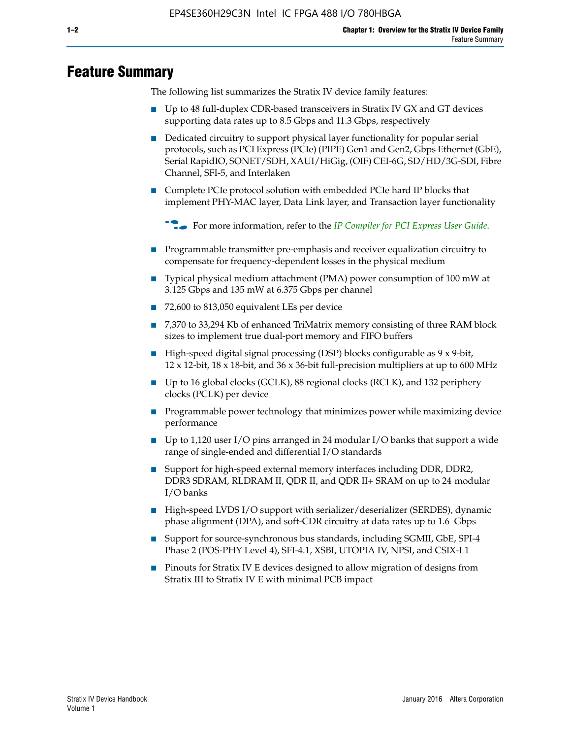# **Feature Summary**

The following list summarizes the Stratix IV device family features:

- Up to 48 full-duplex CDR-based transceivers in Stratix IV GX and GT devices supporting data rates up to 8.5 Gbps and 11.3 Gbps, respectively
- Dedicated circuitry to support physical layer functionality for popular serial protocols, such as PCI Express (PCIe) (PIPE) Gen1 and Gen2, Gbps Ethernet (GbE), Serial RapidIO, SONET/SDH, XAUI/HiGig, (OIF) CEI-6G, SD/HD/3G-SDI, Fibre Channel, SFI-5, and Interlaken
- Complete PCIe protocol solution with embedded PCIe hard IP blocks that implement PHY-MAC layer, Data Link layer, and Transaction layer functionality

**For more information, refer to the** *[IP Compiler for PCI Express User Guide](http://www.altera.com/literature/ug/ug_pci_express.pdf)***.** 

- Programmable transmitter pre-emphasis and receiver equalization circuitry to compensate for frequency-dependent losses in the physical medium
- Typical physical medium attachment (PMA) power consumption of 100 mW at 3.125 Gbps and 135 mW at 6.375 Gbps per channel
- 72,600 to 813,050 equivalent LEs per device
- 7,370 to 33,294 Kb of enhanced TriMatrix memory consisting of three RAM block sizes to implement true dual-port memory and FIFO buffers
- High-speed digital signal processing (DSP) blocks configurable as 9 x 9-bit,  $12 \times 12$ -bit,  $18 \times 18$ -bit, and  $36 \times 36$ -bit full-precision multipliers at up to 600 MHz
- Up to 16 global clocks (GCLK), 88 regional clocks (RCLK), and 132 periphery clocks (PCLK) per device
- Programmable power technology that minimizes power while maximizing device performance
- Up to 1,120 user I/O pins arranged in 24 modular I/O banks that support a wide range of single-ended and differential I/O standards
- Support for high-speed external memory interfaces including DDR, DDR2, DDR3 SDRAM, RLDRAM II, QDR II, and QDR II+ SRAM on up to 24 modular I/O banks
- High-speed LVDS I/O support with serializer/deserializer (SERDES), dynamic phase alignment (DPA), and soft-CDR circuitry at data rates up to 1.6 Gbps
- Support for source-synchronous bus standards, including SGMII, GbE, SPI-4 Phase 2 (POS-PHY Level 4), SFI-4.1, XSBI, UTOPIA IV, NPSI, and CSIX-L1
- Pinouts for Stratix IV E devices designed to allow migration of designs from Stratix III to Stratix IV E with minimal PCB impact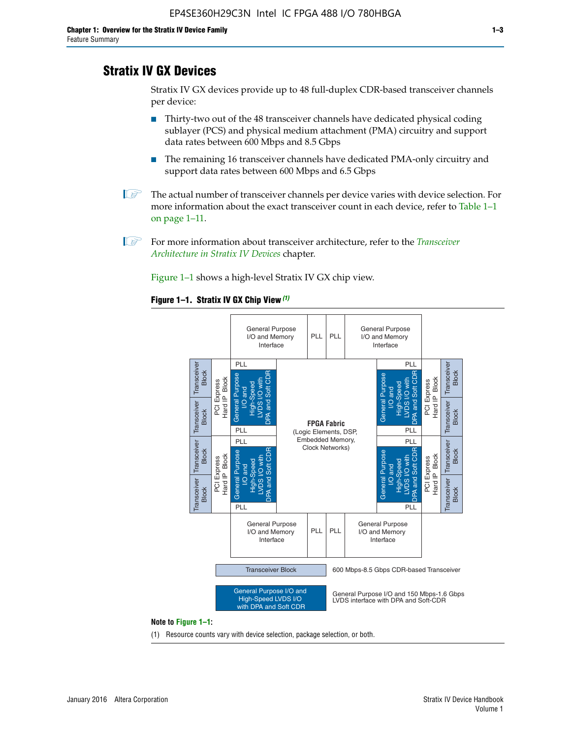# **Stratix IV GX Devices**

Stratix IV GX devices provide up to 48 full-duplex CDR-based transceiver channels per device:

- Thirty-two out of the 48 transceiver channels have dedicated physical coding sublayer (PCS) and physical medium attachment (PMA) circuitry and support data rates between 600 Mbps and 8.5 Gbps
- The remaining 16 transceiver channels have dedicated PMA-only circuitry and support data rates between 600 Mbps and 6.5 Gbps
- **1 The actual number of transceiver channels per device varies with device selection. For** more information about the exact transceiver count in each device, refer to Table 1–1 on page 1–11.
- 1 For more information about transceiver architecture, refer to the *[Transceiver](http://www.altera.com/literature/hb/stratix-iv/stx4_siv52001.pdf)  [Architecture in Stratix IV Devices](http://www.altera.com/literature/hb/stratix-iv/stx4_siv52001.pdf)* chapter.

Figure 1–1 shows a high-level Stratix IV GX chip view.

#### **Figure 1–1. Stratix IV GX Chip View** *(1)*



#### **Note to Figure 1–1:**

(1) Resource counts vary with device selection, package selection, or both.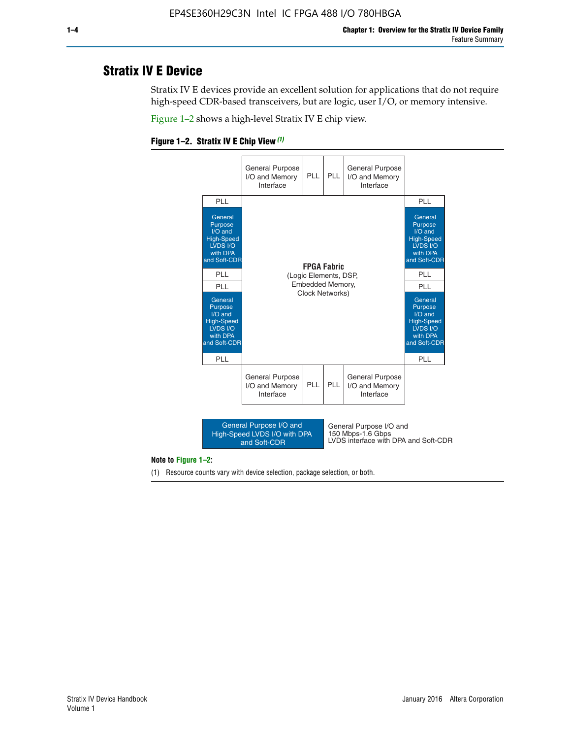# **Stratix IV E Device**

Stratix IV E devices provide an excellent solution for applications that do not require high-speed CDR-based transceivers, but are logic, user I/O, or memory intensive.

Figure 1–2 shows a high-level Stratix IV E chip view.





#### **Note to Figure 1–2:**

(1) Resource counts vary with device selection, package selection, or both.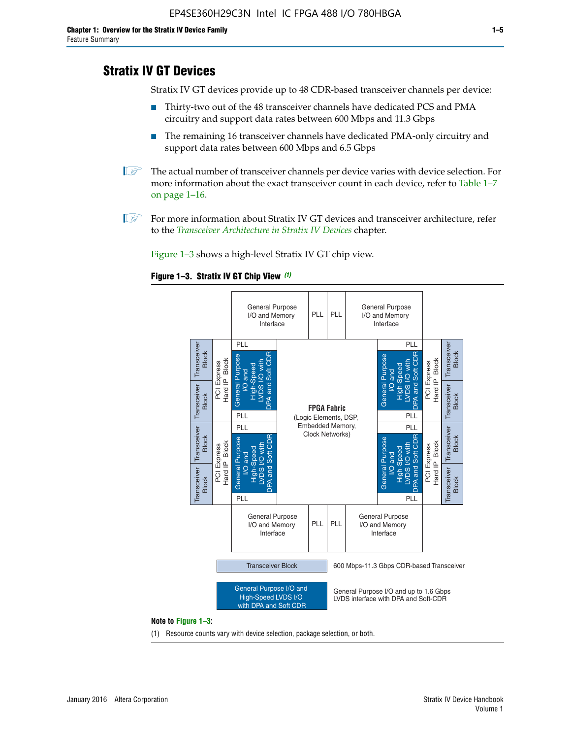# **Stratix IV GT Devices**

Stratix IV GT devices provide up to 48 CDR-based transceiver channels per device:

- Thirty-two out of the 48 transceiver channels have dedicated PCS and PMA circuitry and support data rates between 600 Mbps and 11.3 Gbps
- The remaining 16 transceiver channels have dedicated PMA-only circuitry and support data rates between 600 Mbps and 6.5 Gbps
- **1** The actual number of transceiver channels per device varies with device selection. For more information about the exact transceiver count in each device, refer to Table 1–7 on page 1–16.
- $\mathbb{I}$  For more information about Stratix IV GT devices and transceiver architecture, refer to the *[Transceiver Architecture in Stratix IV Devices](http://www.altera.com/literature/hb/stratix-iv/stx4_siv52001.pdf)* chapter.

Figure 1–3 shows a high-level Stratix IV GT chip view.

#### **Figure 1–3. Stratix IV GT Chip View** *(1)*



(1) Resource counts vary with device selection, package selection, or both.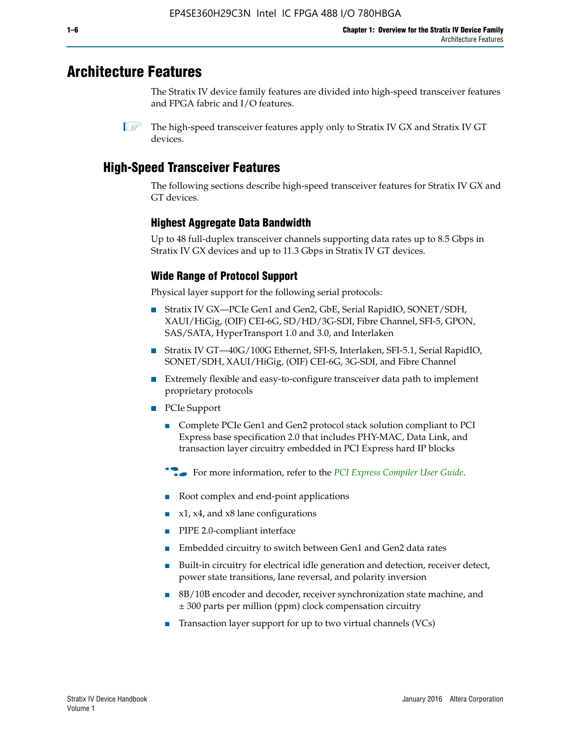# **Architecture Features**

The Stratix IV device family features are divided into high-speed transceiver features and FPGA fabric and I/O features.

# **High-Speed Transceiver Features**

The following sections describe high-speed transceiver features for Stratix IV GX and GT devices.

## **Highest Aggregate Data Bandwidth**

Up to 48 full-duplex transceiver channels supporting data rates up to 8.5 Gbps in Stratix IV GX devices and up to 11.3 Gbps in Stratix IV GT devices.

# **Wide Range of Protocol Support**

Physical layer support for the following serial protocols:

- Stratix IV GX—PCIe Gen1 and Gen2, GbE, Serial RapidIO, SONET/SDH, XAUI/HiGig, (OIF) CEI-6G, SD/HD/3G-SDI, Fibre Channel, SFI-5, GPON, SAS/SATA, HyperTransport 1.0 and 3.0, and Interlaken
- Stratix IV GT—40G/100G Ethernet, SFI-S, Interlaken, SFI-5.1, Serial RapidIO, SONET/SDH, XAUI/HiGig, (OIF) CEI-6G, 3G-SDI, and Fibre Channel
- Extremely flexible and easy-to-configure transceiver data path to implement proprietary protocols
- PCIe Support
	- Complete PCIe Gen1 and Gen2 protocol stack solution compliant to PCI Express base specification 2.0 that includes PHY-MAC, Data Link, and transaction layer circuitry embedded in PCI Express hard IP blocks
	- **For more information, refer to the [PCI Express Compiler User Guide](http://www.altera.com/literature/ug/ug_pci_express.pdf).**
	- Root complex and end-point applications
	- $x1, x4,$  and  $x8$  lane configurations
	- PIPE 2.0-compliant interface
	- Embedded circuitry to switch between Gen1 and Gen2 data rates
	- Built-in circuitry for electrical idle generation and detection, receiver detect, power state transitions, lane reversal, and polarity inversion
	- 8B/10B encoder and decoder, receiver synchronization state machine, and ± 300 parts per million (ppm) clock compensation circuitry
	- Transaction layer support for up to two virtual channels (VCs)

 $\mathbb{I}$  The high-speed transceiver features apply only to Stratix IV GX and Stratix IV GT devices.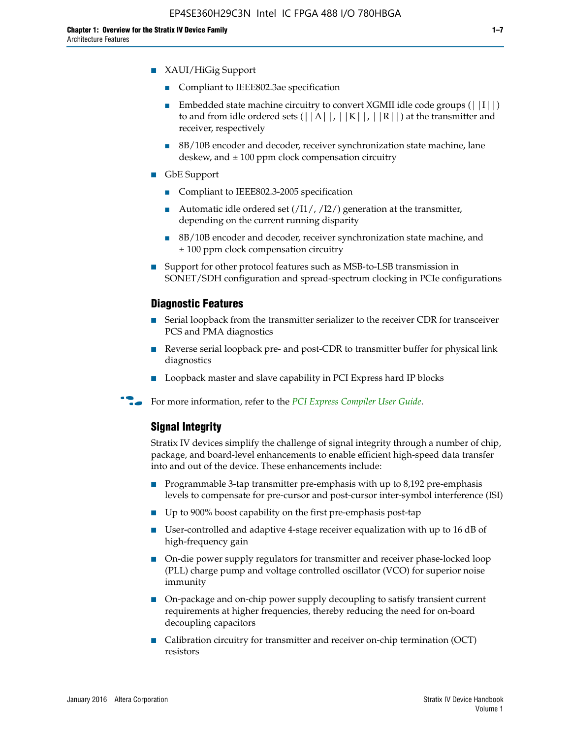- Compliant to IEEE802.3ae specification
- **■** Embedded state machine circuitry to convert XGMII idle code groups  $(|11|)$ to and from idle ordered sets  $(|A|, |K|, |R|)$  at the transmitter and receiver, respectively
- 8B/10B encoder and decoder, receiver synchronization state machine, lane deskew, and  $\pm 100$  ppm clock compensation circuitry
- GbE Support
	- Compliant to IEEE802.3-2005 specification
	- Automatic idle ordered set  $(111/112/1)$  generation at the transmitter, depending on the current running disparity
	- 8B/10B encoder and decoder, receiver synchronization state machine, and ± 100 ppm clock compensation circuitry
- Support for other protocol features such as MSB-to-LSB transmission in SONET/SDH configuration and spread-spectrum clocking in PCIe configurations

#### **Diagnostic Features**

- Serial loopback from the transmitter serializer to the receiver CDR for transceiver PCS and PMA diagnostics
- Reverse serial loopback pre- and post-CDR to transmitter buffer for physical link diagnostics
- Loopback master and slave capability in PCI Express hard IP blocks
- **For more information, refer to the** *[PCI Express Compiler User Guide](http://www.altera.com/literature/ug/ug_pci_express.pdf)***.**

### **Signal Integrity**

Stratix IV devices simplify the challenge of signal integrity through a number of chip, package, and board-level enhancements to enable efficient high-speed data transfer into and out of the device. These enhancements include:

- Programmable 3-tap transmitter pre-emphasis with up to 8,192 pre-emphasis levels to compensate for pre-cursor and post-cursor inter-symbol interference (ISI)
- Up to 900% boost capability on the first pre-emphasis post-tap
- User-controlled and adaptive 4-stage receiver equalization with up to 16 dB of high-frequency gain
- On-die power supply regulators for transmitter and receiver phase-locked loop (PLL) charge pump and voltage controlled oscillator (VCO) for superior noise immunity
- On-package and on-chip power supply decoupling to satisfy transient current requirements at higher frequencies, thereby reducing the need for on-board decoupling capacitors
- Calibration circuitry for transmitter and receiver on-chip termination (OCT) resistors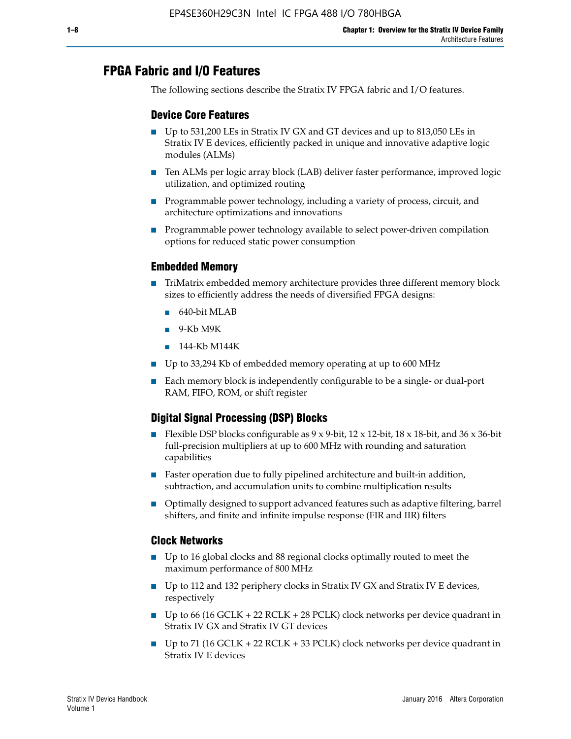# **FPGA Fabric and I/O Features**

The following sections describe the Stratix IV FPGA fabric and I/O features.

### **Device Core Features**

- Up to 531,200 LEs in Stratix IV GX and GT devices and up to 813,050 LEs in Stratix IV E devices, efficiently packed in unique and innovative adaptive logic modules (ALMs)
- Ten ALMs per logic array block (LAB) deliver faster performance, improved logic utilization, and optimized routing
- Programmable power technology, including a variety of process, circuit, and architecture optimizations and innovations
- Programmable power technology available to select power-driven compilation options for reduced static power consumption

#### **Embedded Memory**

- TriMatrix embedded memory architecture provides three different memory block sizes to efficiently address the needs of diversified FPGA designs:
	- 640-bit MLAB
	- 9-Kb M9K
	- 144-Kb M144K
- Up to 33,294 Kb of embedded memory operating at up to 600 MHz
- Each memory block is independently configurable to be a single- or dual-port RAM, FIFO, ROM, or shift register

# **Digital Signal Processing (DSP) Blocks**

- Flexible DSP blocks configurable as  $9 \times 9$ -bit,  $12 \times 12$ -bit,  $18 \times 18$ -bit, and  $36 \times 36$ -bit full-precision multipliers at up to 600 MHz with rounding and saturation capabilities
- Faster operation due to fully pipelined architecture and built-in addition, subtraction, and accumulation units to combine multiplication results
- Optimally designed to support advanced features such as adaptive filtering, barrel shifters, and finite and infinite impulse response (FIR and IIR) filters

#### **Clock Networks**

- Up to 16 global clocks and 88 regional clocks optimally routed to meet the maximum performance of 800 MHz
- Up to 112 and 132 periphery clocks in Stratix IV GX and Stratix IV E devices, respectively
- Up to 66 (16 GCLK + 22 RCLK + 28 PCLK) clock networks per device quadrant in Stratix IV GX and Stratix IV GT devices
- Up to 71 (16 GCLK + 22 RCLK + 33 PCLK) clock networks per device quadrant in Stratix IV E devices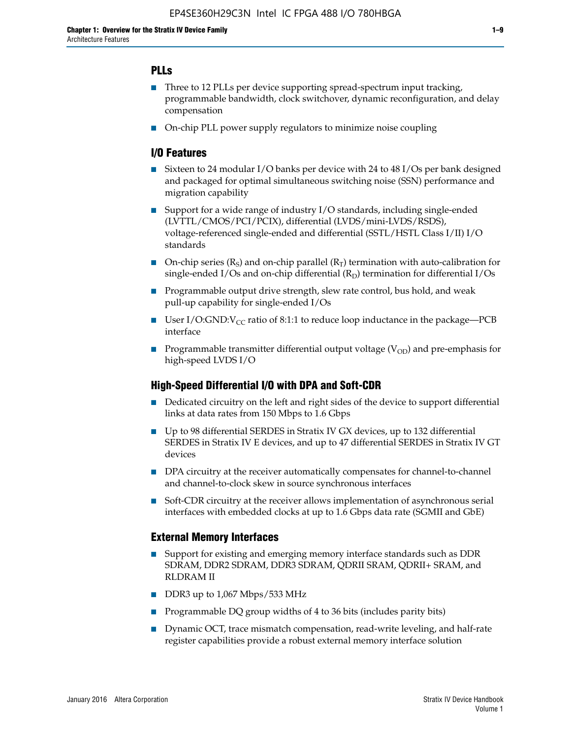## **PLLs**

- Three to 12 PLLs per device supporting spread-spectrum input tracking, programmable bandwidth, clock switchover, dynamic reconfiguration, and delay compensation
- On-chip PLL power supply regulators to minimize noise coupling

### **I/O Features**

- Sixteen to 24 modular I/O banks per device with 24 to 48 I/Os per bank designed and packaged for optimal simultaneous switching noise (SSN) performance and migration capability
- Support for a wide range of industry I/O standards, including single-ended (LVTTL/CMOS/PCI/PCIX), differential (LVDS/mini-LVDS/RSDS), voltage-referenced single-ended and differential (SSTL/HSTL Class I/II) I/O standards
- **O**n-chip series  $(R_S)$  and on-chip parallel  $(R_T)$  termination with auto-calibration for single-ended I/Os and on-chip differential  $(R_D)$  termination for differential I/Os
- Programmable output drive strength, slew rate control, bus hold, and weak pull-up capability for single-ended I/Os
- User I/O:GND: $V_{CC}$  ratio of 8:1:1 to reduce loop inductance in the package—PCB interface
- **■** Programmable transmitter differential output voltage ( $V_{OD}$ ) and pre-emphasis for high-speed LVDS I/O

#### **High-Speed Differential I/O with DPA and Soft-CDR**

- Dedicated circuitry on the left and right sides of the device to support differential links at data rates from 150 Mbps to 1.6 Gbps
- Up to 98 differential SERDES in Stratix IV GX devices, up to 132 differential SERDES in Stratix IV E devices, and up to 47 differential SERDES in Stratix IV GT devices
- DPA circuitry at the receiver automatically compensates for channel-to-channel and channel-to-clock skew in source synchronous interfaces
- Soft-CDR circuitry at the receiver allows implementation of asynchronous serial interfaces with embedded clocks at up to 1.6 Gbps data rate (SGMII and GbE)

#### **External Memory Interfaces**

- Support for existing and emerging memory interface standards such as DDR SDRAM, DDR2 SDRAM, DDR3 SDRAM, QDRII SRAM, QDRII+ SRAM, and RLDRAM II
- DDR3 up to 1,067 Mbps/533 MHz
- Programmable DQ group widths of 4 to 36 bits (includes parity bits)
- Dynamic OCT, trace mismatch compensation, read-write leveling, and half-rate register capabilities provide a robust external memory interface solution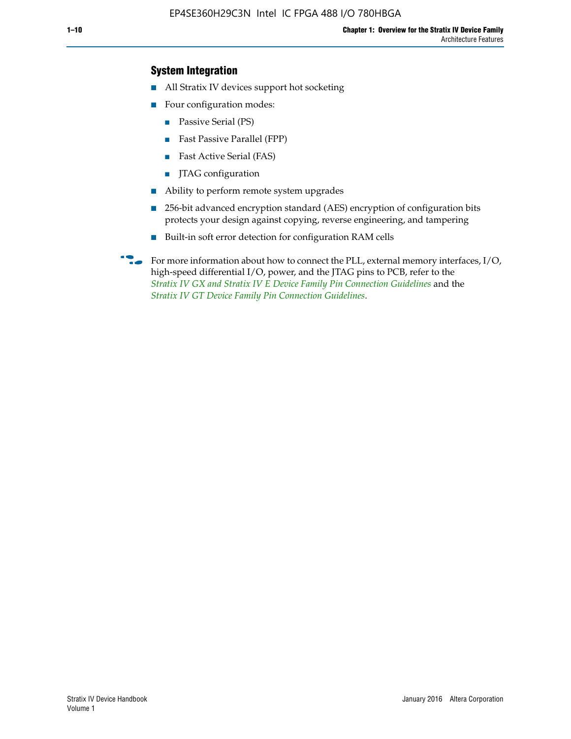## **System Integration**

- All Stratix IV devices support hot socketing
- Four configuration modes:
	- Passive Serial (PS)
	- Fast Passive Parallel (FPP)
	- Fast Active Serial (FAS)
	- JTAG configuration
- Ability to perform remote system upgrades
- 256-bit advanced encryption standard (AES) encryption of configuration bits protects your design against copying, reverse engineering, and tampering
- Built-in soft error detection for configuration RAM cells
- For more information about how to connect the PLL, external memory interfaces,  $I/O$ , high-speed differential I/O, power, and the JTAG pins to PCB, refer to the *[Stratix IV GX and Stratix IV E Device Family Pin Connection Guidelines](http://www.altera.com/literature/dp/stratix4/PCG-01005.pdf)* and the *[Stratix IV GT Device Family Pin Connection Guidelines](http://www.altera.com/literature/dp/stratix4/PCG-01006.pdf)*.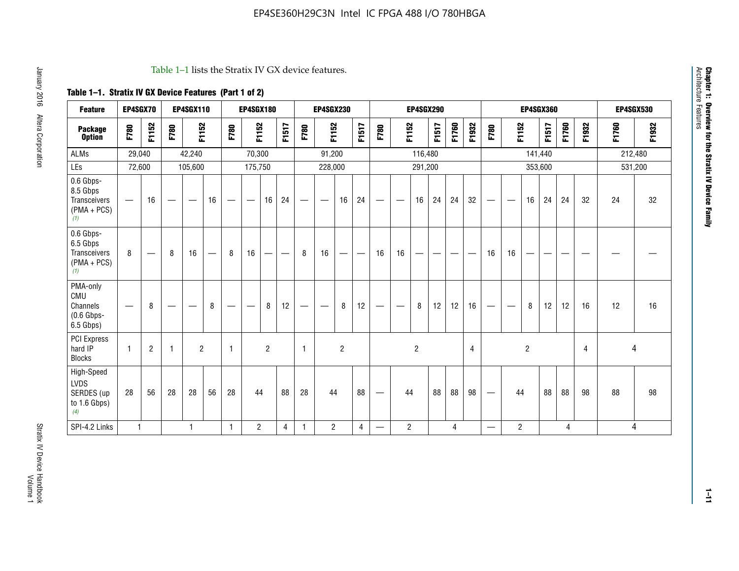#### Table 1–1 lists the Stratix IV GX device features.

# **Table 1–1. Stratix IV GX Device Features (Part 1 of 2)**

| <b>Feature</b>                                                 | EP4SGX70                 |                |                                  | <b>EP4SGX110</b>  |    |                                | <b>EP4SGX180</b>               |                |       | <b>EP4SGX230</b><br><b>EP4SGX290</b> |                          |                | <b>EP4SGX360</b> |                                 |                |                |       | <b>EP4SGX530</b> |                |                                 |                   |                |         |       |       |         |         |
|----------------------------------------------------------------|--------------------------|----------------|----------------------------------|-------------------|----|--------------------------------|--------------------------------|----------------|-------|--------------------------------------|--------------------------|----------------|------------------|---------------------------------|----------------|----------------|-------|------------------|----------------|---------------------------------|-------------------|----------------|---------|-------|-------|---------|---------|
| <b>Package</b><br><b>Option</b>                                | F780                     | F1152          | F780                             | F1152             |    | F780                           | F1152                          |                | F1517 | F780                                 | F1152                    |                | F1517            | F780                            | F1152          |                | F1517 | F1760            | F1932          | F780                            | F1152             |                | F1517   | F1760 | F1932 | F1760   | F1932   |
| <b>ALMs</b>                                                    | 29,040                   |                |                                  | 42,240            |    |                                | 70,300                         |                |       |                                      | 91,200                   |                |                  |                                 |                | 116,480        |       |                  |                |                                 |                   |                | 141,440 |       |       | 212,480 |         |
| LEs                                                            | 72,600                   |                |                                  | 105,600           |    |                                | 175,750                        |                |       |                                      | 228,000                  |                |                  |                                 |                | 291,200        |       |                  |                |                                 |                   |                | 353,600 |       |       |         | 531,200 |
| 0.6 Gbps-<br>8.5 Gbps<br>Transceivers<br>$(PMA + PCs)$<br>(1)  | $\overline{\phantom{0}}$ | 16             | $\hspace{0.05cm}$                | $\hspace{0.05cm}$ | 16 | $\qquad \qquad \longleftarrow$ | $\hspace{0.05cm}$              | 16             | 24    |                                      | $\overline{\phantom{a}}$ | 16             | 24               | —                               |                | 16             | 24    | 24               | 32             | $\overline{\phantom{0}}$        | $\hspace{0.05cm}$ | 16             | 24      | 24    | 32    | 24      | 32      |
| 0.6 Gbps-<br>6.5 Gbps<br>Transceivers<br>$(PMA + PCs)$<br>(1)  | 8                        |                | 8                                | 16                |    | 8                              | 16                             | ÷              |       | 8                                    | 16                       | —              |                  | 16                              | 16             |                |       |                  |                | 16                              | 16                |                |         |       |       |         |         |
| PMA-only<br>CMU<br>Channels<br>$(0.6$ Gbps-<br>6.5 Gbps)       | $\overline{\phantom{0}}$ | 8              | $\overbrace{\phantom{12322111}}$ |                   | 8  | $\qquad \qquad \longleftarrow$ | $\qquad \qquad \longleftarrow$ | 8              | 12    |                                      |                          | 8              | 12               | $\hspace{0.1mm}-\hspace{0.1mm}$ |                | 8              | 12    | 12               | 16             | $\overline{\phantom{0}}$        | $\hspace{0.05cm}$ | 8              | 12      | 12    | 16    | 12      | 16      |
| <b>PCI Express</b><br>hard IP<br><b>Blocks</b>                 | $\mathbf{1}$             | $\overline{2}$ | $\mathbf 1$                      | $\overline{2}$    |    | $\mathbf{1}$                   |                                | $\overline{2}$ |       | $\mathbf{1}$                         |                          | $\overline{c}$ |                  |                                 |                | $\overline{c}$ |       |                  | $\overline{4}$ |                                 |                   | $\overline{2}$ |         |       | 4     |         | 4       |
| High-Speed<br><b>LVDS</b><br>SERDES (up<br>to 1.6 Gbps)<br>(4) | 28                       | 56             | 28                               | 28                | 56 | 28                             | 44                             |                | 88    | 28                                   | 44                       |                | 88               | —                               | 44             |                | 88    | 88               | 98             | $\hspace{0.1mm}-\hspace{0.1mm}$ | 44                |                | 88      | 88    | 98    | 88      | 98      |
| SPI-4.2 Links                                                  | $\mathbf{1}$             |                |                                  | 1                 |    | $\mathbf{1}$                   | $\overline{c}$                 |                | 4     | 1                                    | $\overline{c}$           |                | 4                | —                               | $\overline{2}$ |                |       | 4                |                | $\overline{\phantom{0}}$        | $\overline{2}$    |                |         | 4     |       |         | 4       |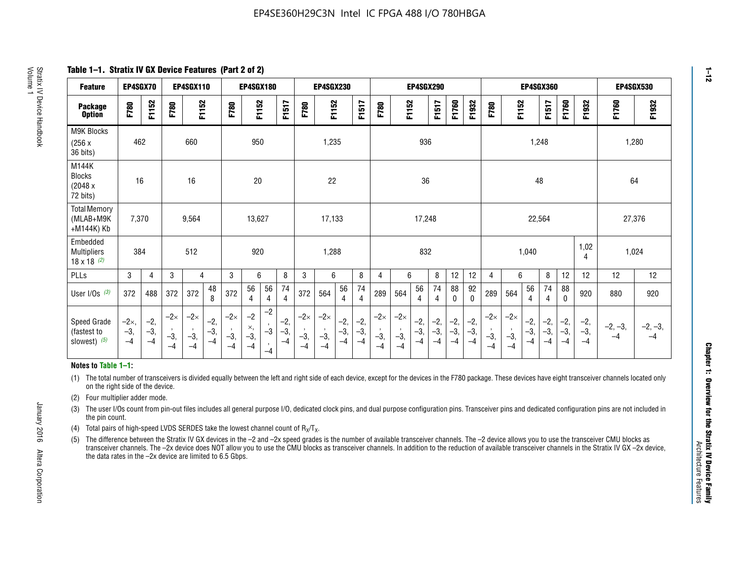**Table 1–1. Stratix IV GX Device Features (Part 2 of 2)**

| <b>Feature</b>                                       | EP4SGX70                |                        |                             | <b>EP4SGX110</b>            |                      |                             | EP4SGX180                 |                                 |                        |                             | <b>EP4SGX230</b>            |                      |                      |                            |                             | <b>EP4SGX290</b>       |                      |                      |                        |                             |                             |                        | EP4SGX360             |                      |                        | EP4SGX530         |                 |
|------------------------------------------------------|-------------------------|------------------------|-----------------------------|-----------------------------|----------------------|-----------------------------|---------------------------|---------------------------------|------------------------|-----------------------------|-----------------------------|----------------------|----------------------|----------------------------|-----------------------------|------------------------|----------------------|----------------------|------------------------|-----------------------------|-----------------------------|------------------------|-----------------------|----------------------|------------------------|-------------------|-----------------|
| <b>Package</b><br><b>Option</b>                      | <b>F780</b>             | F1152                  | F780                        | F1152                       |                      | F780                        | F1152                     |                                 | F1517                  | F780                        | F1152                       |                      | F1517                | F780                       | F1152                       |                        | F1517                | F1760                | F1932                  | F780                        | F1152                       |                        | F1517                 | F1760                | F1932                  | F1760             | F1932           |
| <b>M9K Blocks</b><br>(256x)<br>36 bits)              | 462                     |                        |                             | 660                         |                      |                             | 950                       |                                 |                        |                             | 1,235                       |                      |                      |                            |                             | 936                    |                      |                      |                        |                             |                             | 1,248                  |                       |                      |                        |                   | 1,280           |
| M144K<br><b>Blocks</b><br>(2048 x<br>72 bits)        | 16                      |                        |                             | 16                          |                      |                             | 20                        |                                 |                        |                             | 22                          |                      |                      |                            |                             | 36                     |                      |                      |                        |                             |                             | 48                     |                       |                      |                        | 64                |                 |
| <b>Total Memory</b><br>(MLAB+M9K<br>+M144K) Kb       | 7,370                   |                        |                             | 9,564                       |                      |                             | 13,627                    |                                 |                        |                             | 17,133                      |                      |                      |                            |                             | 17,248                 |                      |                      |                        |                             |                             | 22,564                 |                       |                      |                        | 27,376            |                 |
| Embedded<br><b>Multipliers</b><br>$18 \times 18$ (2) | 384                     |                        |                             | 512                         |                      |                             | 920                       |                                 |                        |                             | 1,288                       |                      |                      |                            |                             | 832                    |                      |                      |                        |                             |                             | 1,040                  |                       |                      | 1,02<br>4              | 1,024             |                 |
| <b>PLLs</b>                                          | 3                       | $\overline{4}$         | 3                           | 4                           |                      | 3                           | 6                         |                                 | 8                      | 3                           | 6                           |                      | 8                    | 4                          | 6                           |                        | 8                    | 12                   | 12                     | 4                           | 6                           |                        | 8                     | 12                   | 12                     | 12                | 12              |
| User $I/Os$ (3)                                      | 372                     | 488                    | 372                         | 372                         | 48<br>8              | 372                         | 56<br>4                   | 56<br>4                         | 74<br>4                | 372                         | 564                         | 56<br>4              | 74<br>$\overline{4}$ | 289                        | 564                         | 56<br>4                | 74<br>4              | 88<br>0              | 92<br>$\mathbf 0$      | 289                         | 564                         | 56<br>4                | 74<br>4               | 88<br>$\mathbf{0}$   | 920                    | 880               | 920             |
| Speed Grade<br>(fastest to<br>slowest) (5)           | $-2x,$<br>$-3,$<br>$-4$ | $-2,$<br>$-3,$<br>$-4$ | $-2\times$<br>$-3,$<br>$-4$ | $-2\times$<br>$-3,$<br>$-4$ | $-2,$<br>-3,<br>$-4$ | $-2\times$<br>$-3,$<br>$-4$ | $-2$<br>×,<br>$-3,$<br>-4 | $-2$<br>$-3$<br>$\cdot$<br>$-4$ | $-2,$<br>$-3,$<br>$-4$ | $-2\times$<br>$-3,$<br>$-4$ | $-2\times$<br>$-3,$<br>$-4$ | $-2,$<br>-3,<br>$-4$ | $-2,$<br>-3,<br>$-4$ | $-2\times$<br>$-3$<br>$-4$ | $-2\times$<br>$-3,$<br>$-4$ | $-2,$<br>$-3,$<br>$-4$ | $-2,$<br>-3,<br>$-4$ | $-2,$<br>-3,<br>$-4$ | $-2,$<br>$-3,$<br>$-4$ | $-2\times$<br>$-3,$<br>$-4$ | $-2\times$<br>$-3,$<br>$-4$ | $-2,$<br>$-3,$<br>$-4$ | $-2,$<br>$-3$<br>$-4$ | $-2,$<br>-3,<br>$-4$ | $-2,$<br>$-3,$<br>$-4$ | $-2, -3,$<br>$-4$ | $-2, -3,$<br>-4 |

#### **Notes to Table 1–1:**

(1) The total number of transceivers is divided equally between the left and right side of each device, except for the devices in the F780 package. These devices have eight transceiver channels located only on the right side of the device.

- (2) Four multiplier adder mode.
- (3) The user I/Os count from pin-out files includes all general purpose I/O, dedicated clock pins, and dual purpose configuration pins. Transceiver pins and dedicated configuration pins are not included in the pin count.
- (4) Total pairs of high-speed LVDS SERDES take the lowest channel count of  $R_X/T_X$ .
- (5) The difference between the Stratix IV GX devices in the –2 and –2x speed grades is the number of available transceiver channels. The –2 device allows you to use the transceiver CMU blocks as transceiver channels. The –2x device does NOT allow you to use the CMU blocks as transceiver channels. In addition to the reduction of available transceiver channels in the Stratix IV GX –2x device, the data rates in the –2x device are limited to 6.5 Gbps.

January 2016 Altera Corporation

Altera Corporation

January 2016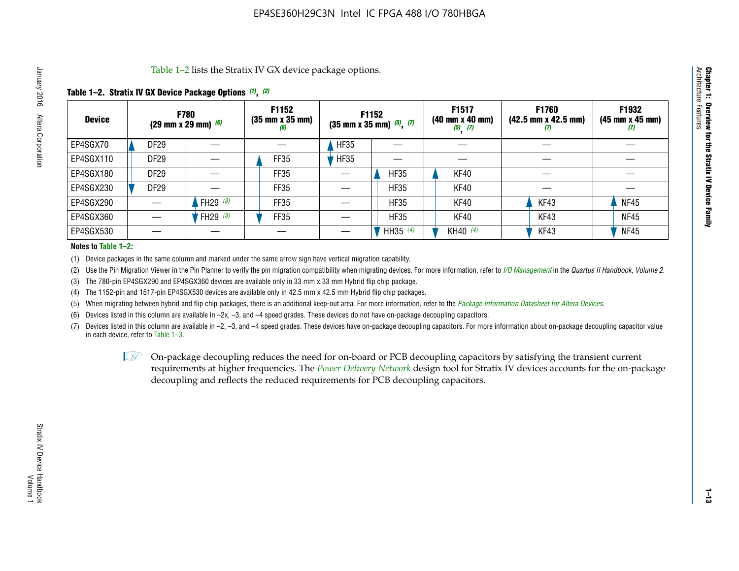Table 1–2 lists the Stratix IV GX device package options.

### **Table 1–2. Stratix IV GX Device Package Options** *(1)***,** *(2)*

| <b>Device</b> |                  | <b>F780</b><br>(29 mm x 29 mm) $(6)$ | F1152<br>$(35 \, \text{mm} \times 35 \, \text{mm})$<br>(6) |             | <b>F1152</b><br>$(35$ mm x 35 mm) $(5)$ , $(7)$ | F1517<br>(40 mm x 40 mm)<br>$(5)$ $(7)$ | <b>F1760</b><br>$(42.5 \text{ mm} \times 42.5 \text{ mm})$<br>(I) | F1932<br>$(45 \, \text{mm} \times 45 \, \text{mm})$<br>(7) |
|---------------|------------------|--------------------------------------|------------------------------------------------------------|-------------|-------------------------------------------------|-----------------------------------------|-------------------------------------------------------------------|------------------------------------------------------------|
| EP4SGX70      | DF <sub>29</sub> |                                      |                                                            | <b>HF35</b> |                                                 |                                         |                                                                   |                                                            |
| EP4SGX110     | <b>DF29</b>      |                                      | FF35                                                       | <b>HF35</b> |                                                 |                                         |                                                                   |                                                            |
| EP4SGX180     | DF <sub>29</sub> |                                      | FF35                                                       |             | <b>HF35</b>                                     | KF40                                    |                                                                   |                                                            |
| EP4SGX230     | <b>DF29</b>      |                                      | FF35                                                       |             | <b>HF35</b>                                     | KF40                                    |                                                                   |                                                            |
| EP4SGX290     |                  | FH29 $(3)$                           | FF35                                                       |             | <b>HF35</b>                                     | KF40                                    | KF43                                                              | <b>NF45</b>                                                |
| EP4SGX360     |                  | 'FH29 (3)                            | FF35                                                       |             | <b>HF35</b>                                     | KF40                                    | KF43                                                              | <b>NF45</b>                                                |
| EP4SGX530     |                  |                                      |                                                            |             | HH35 (4)                                        | KH40 (4)                                | KF43                                                              | <b>NF45</b>                                                |

#### **Notes to Table 1–2:**

(1) Device packages in the same column and marked under the same arrow sign have vertical migration capability.

(2) Use the Pin Migration Viewer in the Pin Planner to verify the pin migration compatibility when migrating devices. For more information, refer to *[I/O Management](http://www.altera.com/literature/hb/qts/qts_qii52013.pdf)* in the *Quartus II Handbook, Volume 2*.

(3) The 780-pin EP4SGX290 and EP4SGX360 devices are available only in 33 mm x 33 mm Hybrid flip chip package.

(4) The 1152-pin and 1517-pin EP4SGX530 devices are available only in 42.5 mm x 42.5 mm Hybrid flip chip packages.

(5) When migrating between hybrid and flip chip packages, there is an additional keep-out area. For more information, refer to the *[Package Information Datasheet for Altera Devices](http://www.altera.com/literature/ds/dspkg.pdf)*.

(6) Devices listed in this column are available in –2x, –3, and –4 speed grades. These devices do not have on-package decoupling capacitors.

(7) Devices listed in this column are available in –2, –3, and –4 speed grades. These devices have on-package decoupling capacitors. For more information about on-package decoupling capacitor value in each device, refer to Table 1–3.

 $\mathbb{L}$ s On-package decoupling reduces the need for on-board or PCB decoupling capacitors by satisfying the transient current requirements at higher frequencies. The *[Power Delivery Network](http://www.altera.com/literature/ug/pdn_tool_stxiv.zip)* design tool for Stratix IV devices accounts for the on-package decoupling and reflects the reduced requirements for PCB decoupling capacitors.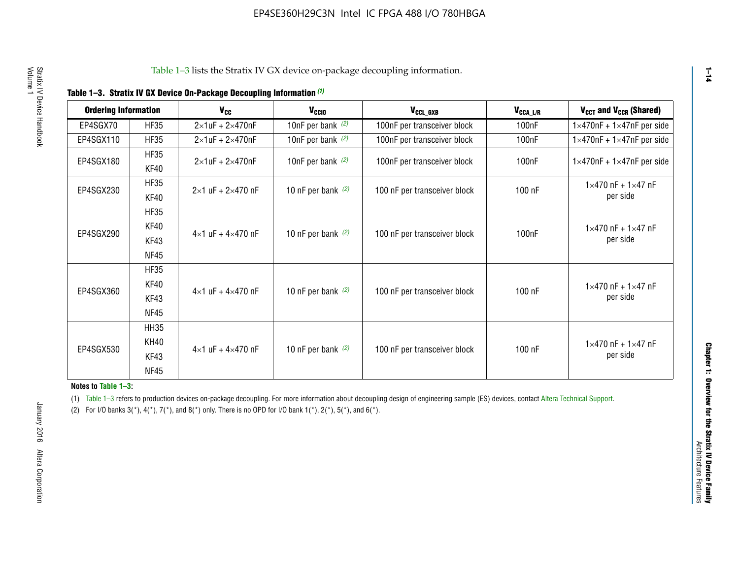|  |  |  | Table 1-3. Stratix IV GX Device On-Package Decoupling Information (1) |
|--|--|--|-----------------------------------------------------------------------|
|--|--|--|-----------------------------------------------------------------------|

| <b>Ordering Information</b> |                     | <b>V<sub>cc</sub></b>               | V <sub>ccio</sub>    | V <sub>CCL GXB</sub>         | V <sub>CCA_L/R</sub> | V <sub>CCT</sub> and V <sub>CCR</sub> (Shared)   |
|-----------------------------|---------------------|-------------------------------------|----------------------|------------------------------|----------------------|--------------------------------------------------|
| EP4SGX70                    | <b>HF35</b>         | $2\times1$ uF + $2\times470$ nF     | 10nF per bank $(2)$  | 100nF per transceiver block  | 100 <sub>n</sub> F   | $1 \times 470$ nF + $1 \times 47$ nF per side    |
| EP4SGX110                   | <b>HF35</b>         | $2\times1$ uF + $2\times470$ nF     | 10nF per bank $(2)$  | 100nF per transceiver block  | 100 <sub>n</sub> F   | $1\times470$ nF + $1\times47$ nF per side        |
| EP4SGX180                   | <b>HF35</b><br>KF40 | $2\times1$ uF + $2\times470$ nF     | 10nF per bank $(2)$  | 100nF per transceiver block  | 100 <sub>nF</sub>    | $1 \times 470$ nF + $1 \times 47$ nF per side    |
| EP4SGX230                   | <b>HF35</b><br>KF40 | $2 \times 1$ uF + $2 \times 470$ nF | 10 nF per bank $(2)$ | 100 nF per transceiver block | 100 nF               | $1 \times 470$ nF + $1 \times 47$ nF<br>per side |
|                             | <b>HF35</b><br>KF40 |                                     |                      |                              |                      | $1 \times 470$ nF + $1 \times 47$ nF             |
| EP4SGX290                   | KF43<br><b>NF45</b> | $4 \times 1$ uF + $4 \times 470$ nF | 10 nF per bank $(2)$ | 100 nF per transceiver block | 100nF                | per side                                         |
|                             | <b>HF35</b><br>KF40 |                                     |                      |                              |                      | $1 \times 470$ nF + $1 \times 47$ nF             |
| EP4SGX360                   | KF43<br><b>NF45</b> | $4 \times 1$ uF + $4 \times 470$ nF | 10 nF per bank $(2)$ | 100 nF per transceiver block | 100 nF               | per side                                         |
|                             | <b>HH35</b>         |                                     |                      |                              |                      |                                                  |
| EP4SGX530                   | <b>KH40</b><br>KF43 | $4 \times 1$ uF + $4 \times 470$ nF | 10 nF per bank $(2)$ | 100 nF per transceiver block | 100 nF               | $1 \times 470$ nF + $1 \times 47$ nF<br>per side |
|                             | <b>NF45</b>         |                                     |                      |                              |                      |                                                  |

**Notes to Table 1–3:**

(1) Table 1-3 refers to production devices on-package decoupling. For more information about decoupling design of engineering sample (ES) devices, contact [Altera Technical Support](http://mysupport.altera.com/eservice/login.asp).

(2) For I/O banks  $3(*)$ ,  $4(*)$ ,  $7(*)$ , and  $8(*)$  only. There is no OPD for I/O bank  $1(*)$ ,  $2(*)$ ,  $5(*)$ , and  $6(*)$ .

**1–14**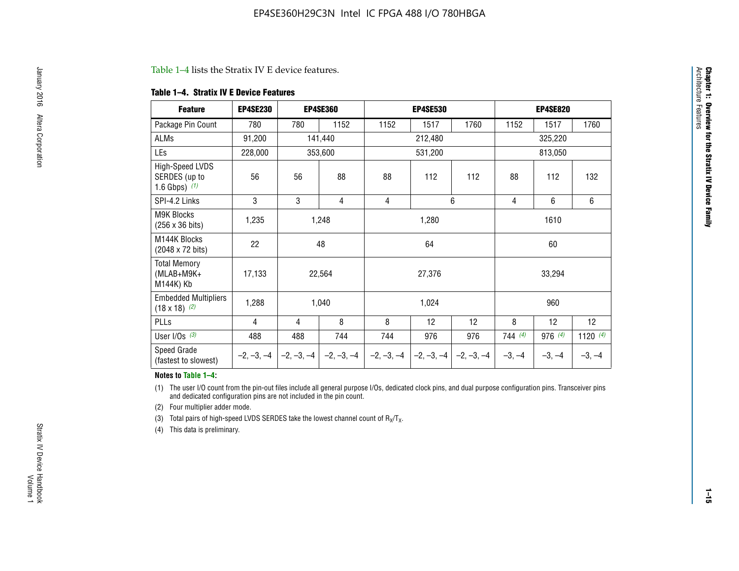#### Table 1–4 lists the Stratix IV E device features.

#### **Table 1–4. Stratix IV E Device Features**

| <b>Feature</b>                                      | <b>EP4SE230</b> |     | <b>EP4SE360</b>                        |              | <b>EP4SE530</b> |              | <b>EP4SE820</b> |          |            |  |
|-----------------------------------------------------|-----------------|-----|----------------------------------------|--------------|-----------------|--------------|-----------------|----------|------------|--|
| Package Pin Count                                   | 780             | 780 | 1152                                   | 1152         | 1517            | 1760         | 1152            | 1517     | 1760       |  |
| ALMs                                                | 91,200          |     | 141,440                                |              | 212,480         |              |                 | 325,220  |            |  |
| LEs                                                 | 228,000         |     | 353,600                                |              | 531,200         |              | 813,050         |          |            |  |
| High-Speed LVDS<br>SERDES (up to<br>1.6 Gbps) $(1)$ | 56              | 56  | 88                                     | 88           | 112             | 112          |                 | 112      | 132        |  |
| SPI-4.2 Links                                       | 3               | 3   | 4                                      | 4            |                 | 6            | 4               | 6        | 6          |  |
| <b>M9K Blocks</b><br>(256 x 36 bits)                | 1,235           |     | 1,248                                  |              | 1,280           |              |                 | 1610     |            |  |
| M144K Blocks<br>(2048 x 72 bits)                    | 22              |     | 48                                     |              | 64              |              | 60              |          |            |  |
| <b>Total Memory</b><br>$(MLAB+M9K+$<br>M144K) Kb    | 17,133          |     | 22,564                                 |              | 27,376          |              |                 | 33,294   |            |  |
| <b>Embedded Multipliers</b><br>$(18 \times 18)$ (2) | 1,288           |     | 1,040                                  |              | 1,024           |              |                 | 960      |            |  |
| PLLs                                                | 4               | 4   | 8                                      | 8            | 12              | 12           | 8               | 12       | 12         |  |
| User I/Os $(3)$                                     | 488             | 488 | 744                                    | 744          | 976             | 976          | 744(4)          | 976 (4)  | 1120 $(4)$ |  |
| Speed Grade<br>(fastest to slowest)                 |                 |     | $-2, -3, -4$ $-2, -3, -4$ $-2, -3, -4$ | $-2, -3, -4$ | $-2, -3, -4$    | $-2, -3, -4$ | $-3, -4$        | $-3, -4$ | $-3, -4$   |  |

#### **Notes to Table 1–4:**

(1) The user I/O count from the pin-out files include all general purpose I/Os, dedicated clock pins, and dual purpose configuration pins. Transceiver pins and dedicated configuration pins are not included in the pin count.

(2) Four multiplier adder mode.

(3) Total pairs of high-speed LVDS SERDES take the lowest channel count of  $R_X/T_X$ .

(4) This data is preliminary.

**Chapter 1: Overview for the Stratix IV Device Family**

**Chapter 1: Overview for the Stratix IV Device Family**<br>Architecture Faatures

Architecture Features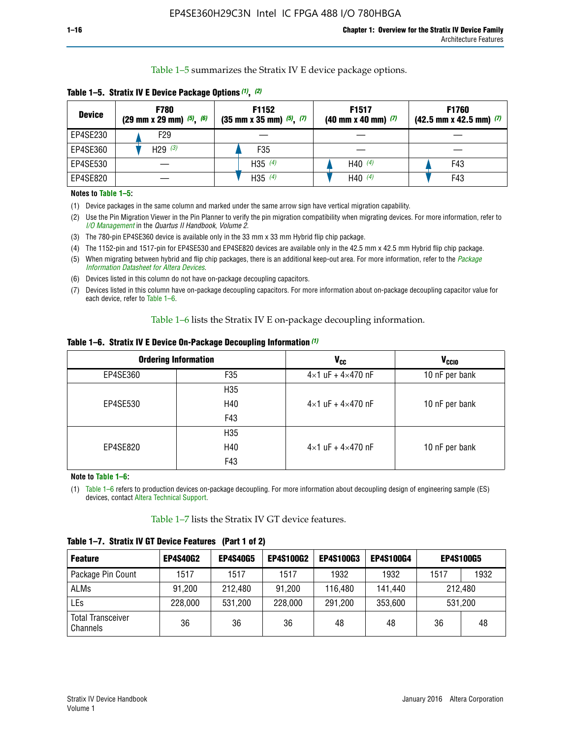Table 1–5 summarizes the Stratix IV E device package options.

| <b>Device</b> | <b>F780</b><br>$(29 \text{ mm} \times 29 \text{ mm})$ $(5)$ , $(6)$ | F1152<br>$(35 \text{ mm} \times 35 \text{ mm})$ $(5)$ , $(7)$ | F <sub>1517</sub><br>$(40 \text{ mm} \times 40 \text{ mm})$ (7) | <b>F1760</b><br>$(42.5$ mm x 42.5 mm) $(7)$ |  |  |
|---------------|---------------------------------------------------------------------|---------------------------------------------------------------|-----------------------------------------------------------------|---------------------------------------------|--|--|
| EP4SE230      | F29                                                                 |                                                               |                                                                 |                                             |  |  |
| EP4SE360      | H29 $(3)$                                                           | F35                                                           |                                                                 |                                             |  |  |
| EP4SE530      |                                                                     | H35 $(4)$                                                     | H40 $(4)$                                                       | F43                                         |  |  |
| EP4SE820      |                                                                     | H35 $(4)$                                                     | H40 $(4)$                                                       | F43                                         |  |  |

**Table 1–5. Stratix IV E Device Package Options** *(1)***,** *(2)*

#### **Notes to Table 1–5:**

(1) Device packages in the same column and marked under the same arrow sign have vertical migration capability.

(2) Use the Pin Migration Viewer in the Pin Planner to verify the pin migration compatibility when migrating devices. For more information, refer to *[I/O Management](http://www.altera.com/literature/hb/qts/qts_qii52013.pdf)* in the *Quartus II Handbook, Volume 2*.

(3) The 780-pin EP4SE360 device is available only in the 33 mm x 33 mm Hybrid flip chip package.

(4) The 1152-pin and 1517-pin for EP4SE530 and EP4SE820 devices are available only in the 42.5 mm x 42.5 mm Hybrid flip chip package.

(5) When migrating between hybrid and flip chip packages, there is an additional keep-out area. For more information, refer to the *[Package](http://www.altera.com/literature/ds/dspkg.pdf)  [Information Datasheet for Altera Devices](http://www.altera.com/literature/ds/dspkg.pdf)*.

(6) Devices listed in this column do not have on-package decoupling capacitors.

(7) Devices listed in this column have on-package decoupling capacitors. For more information about on-package decoupling capacitor value for each device, refer to Table 1–6.

Table 1–6 lists the Stratix IV E on-package decoupling information.

| Table 1–6. Stratix IV E Device On-Package Decoupling Information (1) |  |  |  |  |
|----------------------------------------------------------------------|--|--|--|--|
|----------------------------------------------------------------------|--|--|--|--|

|          | <b>Ordering Information</b> | <b>V<sub>cc</sub></b>               | <b>V<sub>CCIO</sub></b> |
|----------|-----------------------------|-------------------------------------|-------------------------|
| EP4SE360 | F <sub>35</sub>             | $4 \times 1$ uF + $4 \times 470$ nF | 10 nF per bank          |
|          | H <sub>35</sub>             |                                     |                         |
| EP4SE530 | H40                         | $4 \times 1$ uF + $4 \times 470$ nF | 10 nF per bank          |
|          | F43                         |                                     |                         |
|          | H <sub>35</sub>             |                                     |                         |
| EP4SE820 | H40                         | $4 \times 1$ uF + $4 \times 470$ nF | 10 nF per bank          |
|          | F43                         |                                     |                         |

**Note to Table 1–6:**

(1) Table 1–6 refers to production devices on-package decoupling. For more information about decoupling design of engineering sample (ES) devices, contact [Altera Technical Support](http://mysupport.altera.com/eservice/login.asp).

Table 1–7 lists the Stratix IV GT device features.

| <b>Feature</b>                       | <b>EP4S40G2</b> | <b>EP4S40G5</b> | <b>EP4S100G2</b> | <b>EP4S100G3</b> | <b>EP4S100G4</b> |              | <b>EP4S100G5</b> |
|--------------------------------------|-----------------|-----------------|------------------|------------------|------------------|--------------|------------------|
| Package Pin Count                    | 1517            | 1517            | 1517             | 1932             | 1932             | 1517<br>1932 |                  |
| <b>ALMs</b>                          | 91,200          | 212,480         | 91,200           | 116,480          | 141,440          | 212,480      |                  |
| LEs                                  | 228,000         | 531,200         | 228,000          | 291,200          | 353,600          | 531,200      |                  |
| <b>Total Transceiver</b><br>Channels | 36              | 36              | 36               | 48               | 48               | 36           | 48               |

**Table 1–7. Stratix IV GT Device Features (Part 1 of 2)**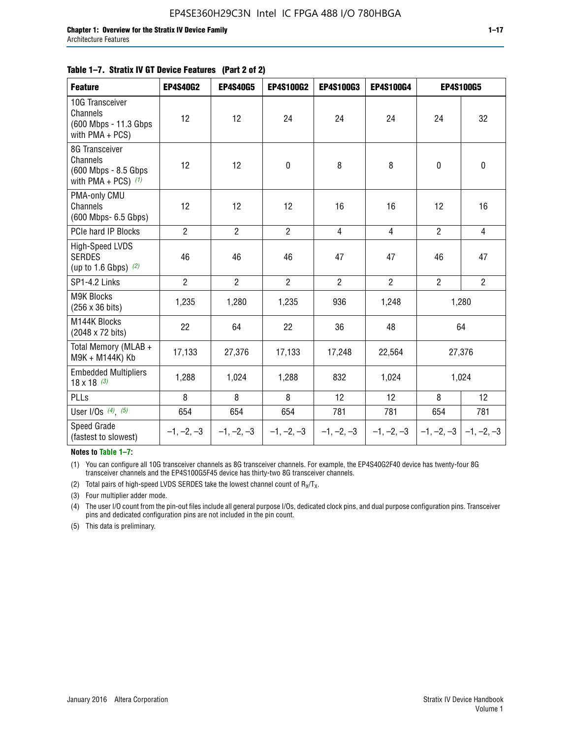#### **Table 1–7. Stratix IV GT Device Features (Part 2 of 2)**

| <b>Feature</b>                                                              | <b>EP4S40G2</b> | <b>EP4S40G5</b> | <b>EP4S100G2</b> | <b>EP4S100G3</b> | <b>EP4S100G4</b> |                           | <b>EP4S100G5</b> |
|-----------------------------------------------------------------------------|-----------------|-----------------|------------------|------------------|------------------|---------------------------|------------------|
| 10G Transceiver<br>Channels<br>(600 Mbps - 11.3 Gbps<br>with PMA + PCS)     | 12              | 12              | 24               | 24               | 24               | 24                        | 32               |
| 8G Transceiver<br>Channels<br>(600 Mbps - 8.5 Gbps<br>with PMA + PCS) $(1)$ | 12              | 12              | $\pmb{0}$        | 8                | 8                | $\mathbf 0$               | $\mathbf 0$      |
| PMA-only CMU<br>Channels<br>(600 Mbps- 6.5 Gbps)                            | 12              | 12              | 12               | 16               | 16               | 12                        | 16               |
| PCIe hard IP Blocks                                                         | $\overline{2}$  | $\overline{2}$  | $\overline{2}$   | $\overline{4}$   | $\overline{4}$   | $\overline{2}$            | $\overline{4}$   |
| <b>High-Speed LVDS</b><br><b>SERDES</b><br>(up to 1.6 Gbps) $(2)$           | 46              | 46              | 46               | 47               | 47               | 46                        | 47               |
| SP1-4.2 Links                                                               | $\overline{2}$  | $\overline{2}$  | $\overline{2}$   | $\overline{2}$   | $\overline{2}$   | $\overline{2}$            | $2^{\circ}$      |
| <b>M9K Blocks</b><br>(256 x 36 bits)                                        | 1,235           | 1,280           | 1,235            | 936              | 1,248            |                           | 1,280            |
| M144K Blocks<br>(2048 x 72 bits)                                            | 22              | 64              | 22               | 36               | 48               |                           | 64               |
| Total Memory (MLAB +<br>M9K + M144K) Kb                                     | 17,133          | 27,376          | 17,133           | 17,248           | 22,564           |                           | 27,376           |
| <b>Embedded Multipliers</b><br>$18 \times 18^{(3)}$                         | 1,288           | 1,024           | 1,288            | 832              | 1,024            | 1,024                     |                  |
| PLLs                                                                        | 8               | 8               | 8                | 12               | 12               | 8                         | 12               |
| User I/Os $(4)$ , $(5)$                                                     | 654             | 654             | 654              | 781              | 781              | 654                       | 781              |
| Speed Grade<br>(fastest to slowest)                                         | $-1, -2, -3$    | $-1, -2, -3$    | $-1, -2, -3$     | $-1, -2, -3$     | $-1, -2, -3$     | $-1, -2, -3$ $-1, -2, -3$ |                  |

**Notes to Table 1–7:**

(1) You can configure all 10G transceiver channels as 8G transceiver channels. For example, the EP4S40G2F40 device has twenty-four 8G transceiver channels and the EP4S100G5F45 device has thirty-two 8G transceiver channels.

(2) Total pairs of high-speed LVDS SERDES take the lowest channel count of  $R_X/T_X$ .

(3) Four multiplier adder mode.

(4) The user I/O count from the pin-out files include all general purpose I/Os, dedicated clock pins, and dual purpose configuration pins. Transceiver pins and dedicated configuration pins are not included in the pin count.

(5) This data is preliminary.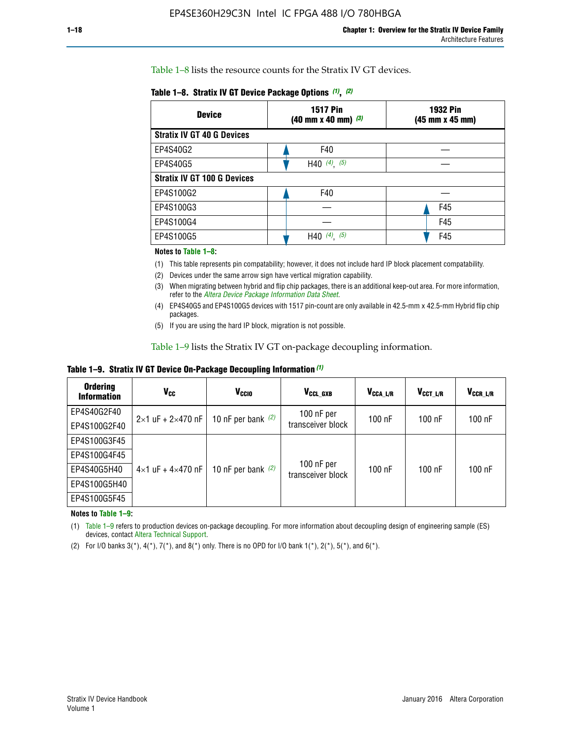Table 1–8 lists the resource counts for the Stratix IV GT devices.

| <b>Device</b>                      | <b>1517 Pin</b><br><b>1932 Pin</b><br>$(40 \text{ mm} \times 40 \text{ mm})$ $(3)$<br>(45 mm x 45 mm) |     |  |
|------------------------------------|-------------------------------------------------------------------------------------------------------|-----|--|
| <b>Stratix IV GT 40 G Devices</b>  |                                                                                                       |     |  |
| EP4S40G2                           | F40                                                                                                   |     |  |
| EP4S40G5                           | H40 $(4)$ , $(5)$                                                                                     |     |  |
| <b>Stratix IV GT 100 G Devices</b> |                                                                                                       |     |  |
| EP4S100G2                          | F40                                                                                                   |     |  |
| EP4S100G3                          |                                                                                                       | F45 |  |
| EP4S100G4                          |                                                                                                       | F45 |  |
| EP4S100G5                          | (5)<br>$(4)$ ,<br>H40                                                                                 | F45 |  |

#### **Notes to Table 1–8:**

(1) This table represents pin compatability; however, it does not include hard IP block placement compatability.

- (2) Devices under the same arrow sign have vertical migration capability.
- (3) When migrating between hybrid and flip chip packages, there is an additional keep-out area. For more information, refer to the *[Altera Device Package Information Data Sheet](http://www.altera.com/literature/ds/dspkg.pdf)*.
- (4) EP4S40G5 and EP4S100G5 devices with 1517 pin-count are only available in 42.5-mm x 42.5-mm Hybrid flip chip packages.
- (5) If you are using the hard IP block, migration is not possible.

Table 1–9 lists the Stratix IV GT on-package decoupling information.

**Table 1–9. Stratix IV GT Device On-Package Decoupling Information** *(1)*

| <b>Ordering</b><br><b>Information</b> | Vcc                                 | <b>V<sub>CCIO</sub></b> | V <sub>CCL GXB</sub>            | V <sub>CCA L/R</sub> | V <sub>CCT L/R</sub> | V <sub>CCR_L/R</sub> |
|---------------------------------------|-------------------------------------|-------------------------|---------------------------------|----------------------|----------------------|----------------------|
| EP4S40G2F40                           | $2 \times 1$ uF + $2 \times 470$ nF | 10 nF per bank $(2)$    | 100 nF per<br>transceiver block | $100$ nF             | $100$ nF             | 100 nF               |
| EP4S100G2F40                          |                                     |                         |                                 |                      |                      |                      |
| EP4S100G3F45                          |                                     | 10 nF per bank $(2)$    | 100 nF per<br>transceiver block | $100$ nF             | $100$ nF             | $100$ nF             |
| EP4S100G4F45                          |                                     |                         |                                 |                      |                      |                      |
| EP4S40G5H40                           | $4\times1$ uF + $4\times470$ nF     |                         |                                 |                      |                      |                      |
| EP4S100G5H40                          |                                     |                         |                                 |                      |                      |                      |
| EP4S100G5F45                          |                                     |                         |                                 |                      |                      |                      |

**Notes to Table 1–9:**

(1) Table 1–9 refers to production devices on-package decoupling. For more information about decoupling design of engineering sample (ES) devices, contact [Altera Technical Support](http://mysupport.altera.com/eservice/login.asp).

(2) For I/O banks  $3(*)$ ,  $4(*)$ ,  $7(*)$ , and  $8(*)$  only. There is no OPD for I/O bank  $1(*)$ ,  $2(*)$ ,  $5(*)$ , and  $6(*)$ .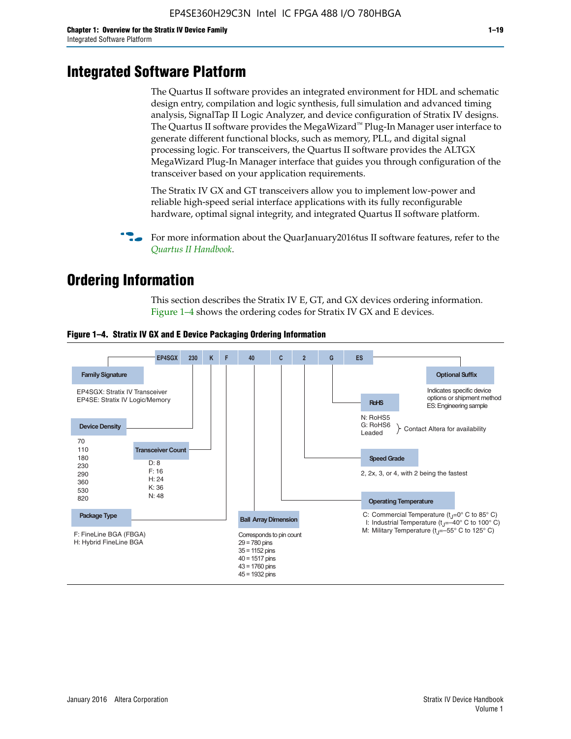# **Integrated Software Platform**

The Quartus II software provides an integrated environment for HDL and schematic design entry, compilation and logic synthesis, full simulation and advanced timing analysis, SignalTap II Logic Analyzer, and device configuration of Stratix IV designs. The Quartus II software provides the MegaWizard<sup> $M$ </sup> Plug-In Manager user interface to generate different functional blocks, such as memory, PLL, and digital signal processing logic. For transceivers, the Quartus II software provides the ALTGX MegaWizard Plug-In Manager interface that guides you through configuration of the transceiver based on your application requirements.

The Stratix IV GX and GT transceivers allow you to implement low-power and reliable high-speed serial interface applications with its fully reconfigurable hardware, optimal signal integrity, and integrated Quartus II software platform.

For more information about the QuarJanuary2016tus II software features, refer to the *[Quartus II Handbook](http://www.altera.com/literature/lit-qts.jsp)*.

# **Ordering Information**

This section describes the Stratix IV E, GT, and GX devices ordering information. Figure 1–4 shows the ordering codes for Stratix IV GX and E devices.



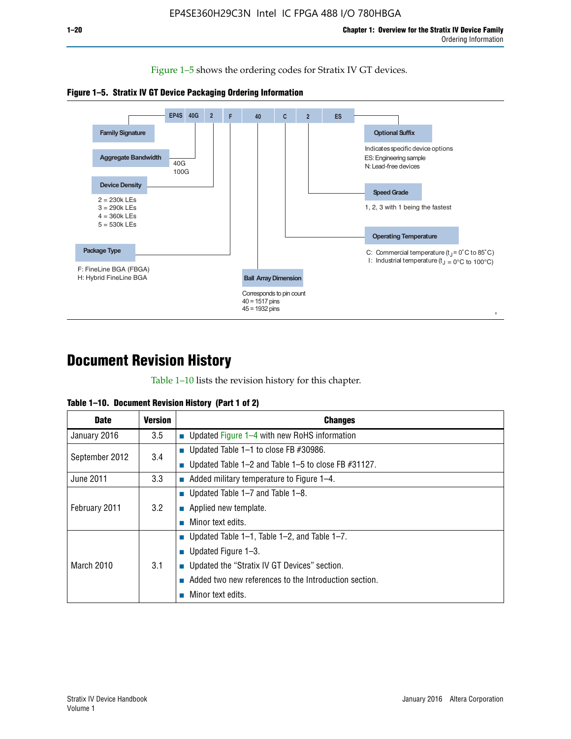Figure 1–5 shows the ordering codes for Stratix IV GT devices.





# **Document Revision History**

Table 1–10 lists the revision history for this chapter.

| Table 1–10. Document Revision History (Part 1 of 2) |  |  |  |  |  |
|-----------------------------------------------------|--|--|--|--|--|
|-----------------------------------------------------|--|--|--|--|--|

| <b>Date</b>       | <b>Version</b> | <b>Changes</b>                                              |
|-------------------|----------------|-------------------------------------------------------------|
| January 2016      | 3.5            | ■ Updated Figure 1–4 with new RoHS information              |
| September 2012    | 3.4            | ■ Updated Table 1–1 to close FB $#30986$ .                  |
|                   |                | Updated Table $1-2$ and Table $1-5$ to close FB $\#31127$ . |
| June 2011         | 3.3            | $\blacksquare$ Added military temperature to Figure 1–4.    |
| February 2011     |                | ■ Updated Table 1–7 and Table 1–8.                          |
|                   | 3.2            | $\blacksquare$ Applied new template.                        |
|                   |                | Minor text edits.                                           |
|                   |                | <b>Updated Table 1–1, Table 1–2, and Table 1–7.</b>         |
| <b>March 2010</b> |                | <b>U</b> Updated Figure 1–3.                                |
|                   | 3.1            | ■ Updated the "Stratix IV GT Devices" section.              |
|                   |                | Added two new references to the Introduction section.       |
|                   |                | Minor text edits.                                           |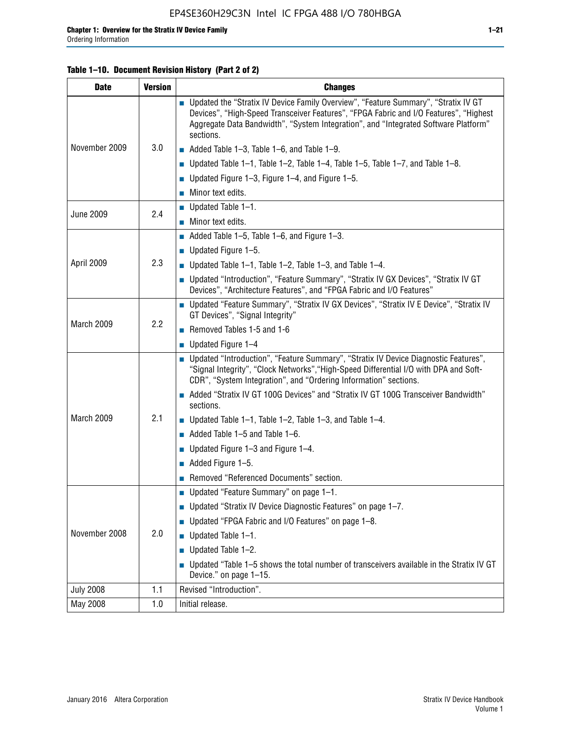#### **Table 1–10. Document Revision History (Part 2 of 2)**

| <b>Date</b>      | <b>Version</b> | <b>Changes</b>                                                                                                                                                                                                                                                                    |  |  |
|------------------|----------------|-----------------------------------------------------------------------------------------------------------------------------------------------------------------------------------------------------------------------------------------------------------------------------------|--|--|
|                  |                | ■ Updated the "Stratix IV Device Family Overview", "Feature Summary", "Stratix IV GT<br>Devices", "High-Speed Transceiver Features", "FPGA Fabric and I/O Features", "Highest<br>Aggregate Data Bandwidth", "System Integration", and "Integrated Software Platform"<br>sections. |  |  |
| November 2009    | 3.0            | $\blacksquare$ Added Table 1-3, Table 1-6, and Table 1-9.                                                                                                                                                                                                                         |  |  |
|                  |                | $\blacksquare$ Updated Table 1-1, Table 1-2, Table 1-4, Table 1-5, Table 1-7, and Table 1-8.                                                                                                                                                                                      |  |  |
|                  |                | ■ Updated Figure 1–3, Figure 1–4, and Figure 1–5.                                                                                                                                                                                                                                 |  |  |
|                  |                | $\blacksquare$ Minor text edits.                                                                                                                                                                                                                                                  |  |  |
|                  | 2.4            | $\blacksquare$ Updated Table 1-1.                                                                                                                                                                                                                                                 |  |  |
| <b>June 2009</b> |                | Minor text edits.                                                                                                                                                                                                                                                                 |  |  |
|                  |                | $\blacksquare$ Added Table 1–5, Table 1–6, and Figure 1–3.                                                                                                                                                                                                                        |  |  |
|                  |                | $\blacksquare$ Updated Figure 1-5.                                                                                                                                                                                                                                                |  |  |
| April 2009       | 2.3            | Updated Table $1-1$ , Table $1-2$ , Table $1-3$ , and Table $1-4$ .                                                                                                                                                                                                               |  |  |
|                  |                | ■ Updated "Introduction", "Feature Summary", "Stratix IV GX Devices", "Stratix IV GT<br>Devices", "Architecture Features", and "FPGA Fabric and I/O Features"                                                                                                                     |  |  |
|                  | 2.2            | ■ Updated "Feature Summary", "Stratix IV GX Devices", "Stratix IV E Device", "Stratix IV<br>GT Devices", "Signal Integrity"                                                                                                                                                       |  |  |
| March 2009       |                | Removed Tables 1-5 and 1-6                                                                                                                                                                                                                                                        |  |  |
|                  |                | Updated Figure 1-4                                                                                                                                                                                                                                                                |  |  |
|                  |                | ■ Updated "Introduction", "Feature Summary", "Stratix IV Device Diagnostic Features",<br>"Signal Integrity", "Clock Networks", "High-Speed Differential I/O with DPA and Soft-<br>CDR", "System Integration", and "Ordering Information" sections.                                |  |  |
|                  |                | Added "Stratix IV GT 100G Devices" and "Stratix IV GT 100G Transceiver Bandwidth"<br>sections.                                                                                                                                                                                    |  |  |
| March 2009       | 2.1            | <b>Updated Table 1–1, Table 1–2, Table 1–3, and Table 1–4.</b>                                                                                                                                                                                                                    |  |  |
|                  |                | $\blacksquare$ Added Table 1-5 and Table 1-6.                                                                                                                                                                                                                                     |  |  |
|                  |                | ■ Updated Figure $1-3$ and Figure $1-4$ .                                                                                                                                                                                                                                         |  |  |
|                  |                | $\blacksquare$ Added Figure 1-5.                                                                                                                                                                                                                                                  |  |  |
|                  |                | Removed "Referenced Documents" section.                                                                                                                                                                                                                                           |  |  |
|                  | 2.0            | Updated "Feature Summary" on page 1-1.                                                                                                                                                                                                                                            |  |  |
|                  |                | ■ Updated "Stratix IV Device Diagnostic Features" on page 1-7.                                                                                                                                                                                                                    |  |  |
| November 2008    |                | Updated "FPGA Fabric and I/O Features" on page 1-8.                                                                                                                                                                                                                               |  |  |
|                  |                | $\blacksquare$ Updated Table 1-1.                                                                                                                                                                                                                                                 |  |  |
|                  |                | Updated Table 1-2.                                                                                                                                                                                                                                                                |  |  |
|                  |                | Updated "Table 1-5 shows the total number of transceivers available in the Stratix IV GT<br>Device." on page 1-15.                                                                                                                                                                |  |  |
| <b>July 2008</b> | 1.1            | Revised "Introduction".                                                                                                                                                                                                                                                           |  |  |
| May 2008         | 1.0            | Initial release.                                                                                                                                                                                                                                                                  |  |  |